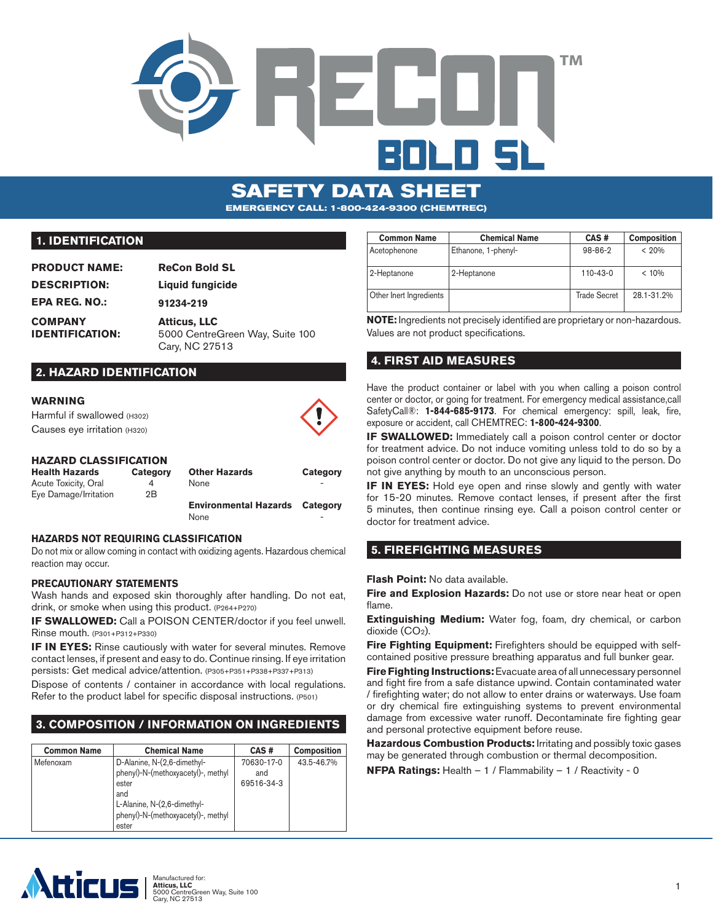



-

## **1. IDENTIFICATION**

| <b>PRODUCT NAME:</b>                     | <b>ReCon Bold SL</b>                                                     |
|------------------------------------------|--------------------------------------------------------------------------|
| <b>DESCRIPTION:</b>                      | Liquid fungicide                                                         |
| <b>EPA REG. NO.:</b>                     | 91234-219                                                                |
| <b>COMPANY</b><br><b>IDENTIFICATION:</b> | <b>Atticus, LLC</b><br>5000 CentreGreen Way, Suite 100<br>Cary, NC 27513 |

## **2. HAZARD IDENTIFICATION**

#### **WARNING**

Harmful if swallowed (H302) Causes eye irritation (H320)

#### **HAZARD CLASSIFICATION**

| <b>Health Hazards</b> | Category | <b>Other Hazards</b>         | Category                 |
|-----------------------|----------|------------------------------|--------------------------|
| Acute Toxicity, Oral  |          | <b>None</b>                  | $\overline{\phantom{0}}$ |
| Eye Damage/Irritation | 2Β       |                              |                          |
|                       |          | <b>Environmental Hazards</b> | Category                 |

#### **HAZARDS NOT REQUIRING CLASSIFICATION**

Do not mix or allow coming in contact with oxidizing agents. Hazardous chemical reaction may occur.

None

#### **PRECAUTIONARY STATEMENTS**

Wash hands and exposed skin thoroughly after handling. Do not eat, drink, or smoke when using this product. (P264+P270)

**IF SWALLOWED:** Call a POISON CENTER/doctor if you feel unwell. Rinse mouth. (P301+P312+P330)

**IF IN EYES:** Rinse cautiously with water for several minutes. Remove contact lenses, if present and easy to do. Continue rinsing. If eye irritation persists: Get medical advice/attention. (P305+P351+P338+P337+P313)

Dispose of contents / container in accordance with local regulations. Refer to the product label for specific disposal instructions. (P501)

# **3. COMPOSITION / INFORMATION ON INGREDIENTS**

| <b>Common Name</b> | <b>Chemical Name</b>                                                                                                                                            | CAS#                            | <b>Composition</b> |
|--------------------|-----------------------------------------------------------------------------------------------------------------------------------------------------------------|---------------------------------|--------------------|
| Mefenoxam          | D-Alanine, N-(2,6-dimethyl-<br>phenyl)-N-(methoxyacetyl)-, methyl<br>ester<br>and<br>L-Alanine, N-(2,6-dimethyl-<br>phenyl)-N-(methoxyacetyl)-, methyl<br>ester | 70630-17-0<br>and<br>69516-34-3 | 43.5-46.7%         |

| <b>Common Name</b>      | <b>Chemical Name</b> | CAS#                | <b>Composition</b> |
|-------------------------|----------------------|---------------------|--------------------|
| Acetophenone            | Ethanone, 1-phenyl-  | 98-86-2             | < 20%              |
| 2-Heptanone             | 2-Heptanone          | $110 - 43 - 0$      | < 10%              |
| Other Inert Ingredients |                      | <b>Trade Secret</b> | 28.1-31.2%         |

**NOTE:** Ingredients not precisely identified are proprietary or non-hazardous. Values are not product specifications.

## **4. FIRST AID MEASURES**

Have the product container or label with you when calling a poison control center or doctor, or going for treatment. For emergency medical assistance,call SafetyCall®: **1-844-685-9173**. For chemical emergency: spill, leak, fire, exposure or accident, call CHEMTREC: **1-800-424-9300**.

**IF SWALLOWED:** Immediately call a poison control center or doctor for treatment advice. Do not induce vomiting unless told to do so by a poison control center or doctor. Do not give any liquid to the person. Do not give anything by mouth to an unconscious person.

**IF IN EYES:** Hold eye open and rinse slowly and gently with water for 15-20 minutes. Remove contact lenses, if present after the first 5 minutes, then continue rinsing eye. Call a poison control center or doctor for treatment advice.

## **5. FIREFIGHTING MEASURES**

**Flash Point:** No data available.

**Fire and Explosion Hazards:** Do not use or store near heat or open flame.

**Extinguishing Medium:** Water fog, foam, dry chemical, or carbon dioxide (CO<sub>2</sub>).

**Fire Fighting Equipment:** Firefighters should be equipped with selfcontained positive pressure breathing apparatus and full bunker gear.

**Fire Fighting Instructions:** Evacuate area of all unnecessary personnel and fight fire from a safe distance upwind. Contain contaminated water / firefighting water; do not allow to enter drains or waterways. Use foam or dry chemical fire extinguishing systems to prevent environmental damage from excessive water runoff. Decontaminate fire fighting gear and personal protective equipment before reuse.

**Hazardous Combustion Products:** Irritating and possibly toxic gases may be generated through combustion or thermal decomposition.

**NFPA Ratings:** Health – 1 / Flammability – 1 / Reactivity - 0

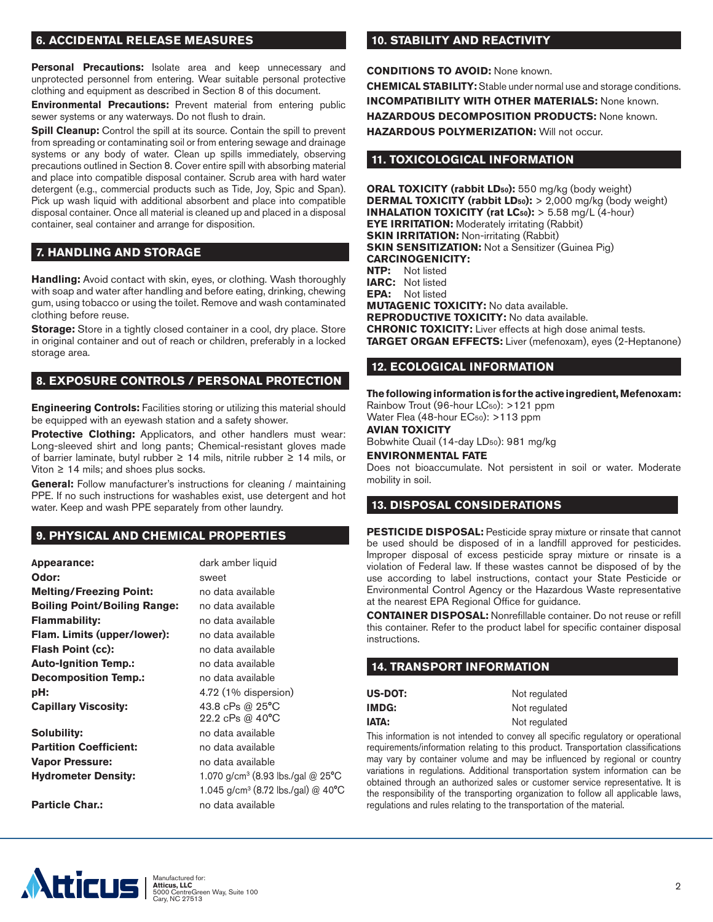## **6. ACCIDENTAL RELEASE MEASURES**

**Personal Precautions:** Isolate area and keep unnecessary and unprotected personnel from entering. Wear suitable personal protective clothing and equipment as described in Section 8 of this document.

**Environmental Precautions:** Prevent material from entering public sewer systems or any waterways. Do not flush to drain.

**Spill Cleanup:** Control the spill at its source. Contain the spill to prevent from spreading or contaminating soil or from entering sewage and drainage systems or any body of water. Clean up spills immediately, observing precautions outlined in Section 8. Cover entire spill with absorbing material and place into compatible disposal container. Scrub area with hard water detergent (e.g., commercial products such as Tide, Joy, Spic and Span). Pick up wash liquid with additional absorbent and place into compatible disposal container. Once all material is cleaned up and placed in a disposal container, seal container and arrange for disposition.

## **7. HANDLING AND STORAGE**

**Handling:** Avoid contact with skin, eyes, or clothing. Wash thoroughly with soap and water after handling and before eating, drinking, chewing gum, using tobacco or using the toilet. Remove and wash contaminated clothing before reuse.

**Storage:** Store in a tightly closed container in a cool, dry place. Store in original container and out of reach or children, preferably in a locked storage area.

## **8. EXPOSURE CONTROLS / PERSONAL PROTECTION**

**Engineering Controls:** Facilities storing or utilizing this material should be equipped with an eyewash station and a safety shower.

**Protective Clothing:** Applicators, and other handlers must wear: Long-sleeved shirt and long pants; Chemical-resistant gloves made of barrier laminate, butyl rubber ≥ 14 mils, nitrile rubber ≥ 14 mils, or Viton  $\geq 14$  mils; and shoes plus socks.

General: Follow manufacturer's instructions for cleaning / maintaining PPE. If no such instructions for washables exist, use detergent and hot water. Keep and wash PPE separately from other laundry.

## **9. PHYSICAL AND CHEMICAL PROPERTIES**

| <b>Appearance:</b>                  | dark amber liquid                                       |
|-------------------------------------|---------------------------------------------------------|
| Odor:                               | sweet                                                   |
| <b>Melting/Freezing Point:</b>      | no data available                                       |
| <b>Boiling Point/Boiling Range:</b> | no data available                                       |
| Flammability:                       | no data available                                       |
| Flam. Limits (upper/lower):         | no data available                                       |
| Flash Point (cc):                   | no data available                                       |
| <b>Auto-Ignition Temp.:</b>         | no data available                                       |
| <b>Decomposition Temp.:</b>         | no data available                                       |
| pH:                                 | 4.72 (1% dispersion)                                    |
| <b>Capillary Viscosity:</b>         | 43.8 cPs @ 25°C<br>22.2 cPs @ 40°C                      |
| Solubility:                         | no data available                                       |
| <b>Partition Coefficient:</b>       | no data available                                       |
| <b>Vapor Pressure:</b>              | no data available                                       |
| <b>Hydrometer Density:</b>          | 1.070 g/cm <sup>3</sup> (8.93 lbs./gal @ $25^{\circ}$ C |
|                                     | 1.045 g/cm <sup>3</sup> (8.72 lbs./gal) @ 40°C          |
| <b>Particle Char.:</b>              | no data available                                       |

## **10. STABILITY AND REACTIVITY**

**CONDITIONS TO AVOID:** None known.

**CHEMICAL STABILITY:** Stable under normal use and storage conditions. **INCOMPATIBILITY WITH OTHER MATERIALS: None known. HAZARDOUS DECOMPOSITION PRODUCTS:** None known. **HAZARDOUS POLYMERIZATION:** Will not occur.

### **11. TOXICOLOGICAL INFORMATION**

**ORAL TOXICITY (rabbit LD50):** 550 mg/kg (body weight) **DERMAL TOXICITY (rabbit LD<sub>50</sub>):** > 2,000 mg/kg (body weight) **INHALATION TOXICITY (rat LC50):** > 5.58 mg/L (4-hour) **EYE IRRITATION:** Moderately irritating (Rabbit) **SKIN IRRITATION:** Non-irritating (Rabbit) **SKIN SENSITIZATION:** Not a Sensitizer (Guinea Pig) **CARCINOGENICITY: NTP:** Not listed **IARC:** Not listed **EPA:** Not listed **MUTAGENIC TOXICITY:** No data available. **REPRODUCTIVE TOXICITY:** No data available. **CHRONIC TOXICITY:** Liver effects at high dose animal tests. **TARGET ORGAN EFFECTS:** Liver (mefenoxam), eyes (2-Heptanone)

### **12. ECOLOGICAL INFORMATION**

**The following information is for the active ingredient, Mefenoxam:** Rainbow Trout (96-hour LC<sub>50</sub>): >121 ppm

Water Flea (48-hour EC<sub>50</sub>): >113 ppm **AVIAN TOXICITY**

Bobwhite Quail (14-day LD50): 981 mg/kg

#### **ENVIRONMENTAL FATE**

Does not bioaccumulate. Not persistent in soil or water. Moderate mobility in soil.

### **13. DISPOSAL CONSIDERATIONS**

**PESTICIDE DISPOSAL:** Pesticide spray mixture or rinsate that cannot be used should be disposed of in a landfill approved for pesticides. Improper disposal of excess pesticide spray mixture or rinsate is a violation of Federal law. If these wastes cannot be disposed of by the use according to label instructions, contact your State Pesticide or Environmental Control Agency or the Hazardous Waste representative at the nearest EPA Regional Office for guidance.

**CONTAINER DISPOSAL:** Nonrefillable container. Do not reuse or refill this container. Refer to the product label for specific container disposal instructions.

## **14. TRANSPORT INFORMATION**

| US-DOT: | Not regulated |
|---------|---------------|
| IMDG:   | Not regulated |
| IATA:   | Not regulated |

This information is not intended to convey all specific regulatory or operational requirements/information relating to this product. Transportation classifications may vary by container volume and may be influenced by regional or country variations in regulations. Additional transportation system information can be obtained through an authorized sales or customer service representative. It is the responsibility of the transporting organization to follow all applicable laws, regulations and rules relating to the transportation of the material.